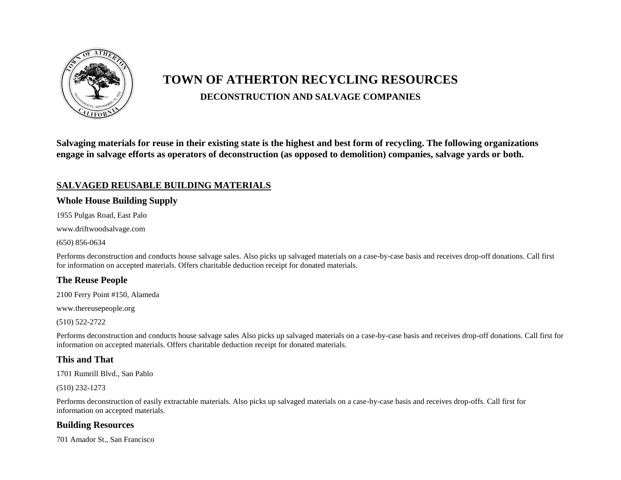

# **TOWN OF ATHERTON RECYCLING RESOURCES DECONSTRUCTION AND SALVAGE COMPANIES**

**Salvaging materials for reuse in their existing state is the highest and best form of recycling. The following organizations engage in salvage efforts as operators of deconstruction (as opposed to demolition) companies, salvage yards or both.**

## **SALVAGED REUSABLE BUILDING MATERIALS**

## **Whole House Building Supply**

1955 Pulgas Road, East Palo

www.driftwoodsalvage.com

(650) 856-0634

Performs deconstruction and conducts house salvage sales. Also picks up salvaged materials on a case-by-case basis and receives drop-off donations. Call first for information on accepted materials. Offers charitable deduction receipt for donated materials.

#### **The Reuse People**

2100 Ferry Point #150, Alameda

www.thereusepeople.org

(510) 522-2722

Performs deconstruction and conducts house salvage sales Also picks up salvaged materials on a case-by-case basis and receives drop-off donations. Call first for information on accepted materials. Offers charitable deduction receipt for donated materials.

#### **This and That**

1701 Rumrill Blvd., San Pablo

(510) 232-1273

Performs deconstruction of easily extractable materials. Also picks up salvaged materials on a case-by-case basis and receives drop-offs. Call first for information on accepted materials.

#### **Building Resources**

701 Amador St., San Francisco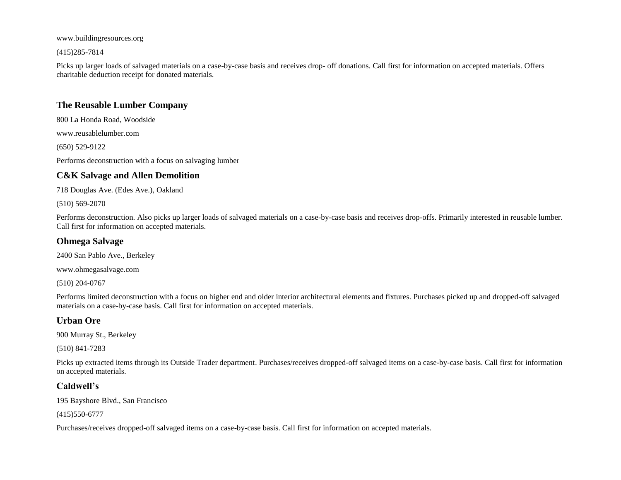www.buildingresources.org

(415)285-7814

Picks up larger loads of salvaged materials on a case-by-case basis and receives drop- off donations. Call first for information on accepted materials. Offers charitable deduction receipt for donated materials.

#### **The Reusable Lumber Company**

800 La Honda Road, Woodside

www.reusablelumber.com

(650) 529-9122

Performs deconstruction with a focus on salvaging lumber

## **C&K Salvage and Allen Demolition**

718 Douglas Ave. (Edes Ave.), Oakland

(510) 569-2070

Performs deconstruction. Also picks up larger loads of salvaged materials on a case-by-case basis and receives drop-offs. Primarily interested in reusable lumber. Call first for information on accepted materials.

## **Ohmega Salvage**

2400 San Pablo Ave., Berkeley

www.ohmegasalvage.com

(510) 204-0767

Performs limited deconstruction with a focus on higher end and older interior architectural elements and fixtures. Purchases picked up and dropped-off salvaged materials on a case-by-case basis. Call first for information on accepted materials.

## **Urban Ore**

900 Murray St., Berkeley

(510) 841-7283

Picks up extracted items through its Outside Trader department. Purchases/receives dropped-off salvaged items on a case-by-case basis. Call first for information on accepted materials.

## **Caldwell's**

195 Bayshore Blvd., San Francisco

(415)550-6777

Purchases/receives dropped-off salvaged items on a case-by-case basis. Call first for information on accepted materials.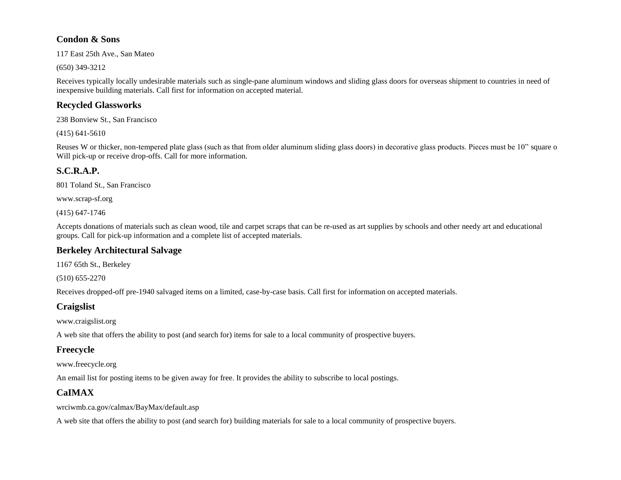#### **Condon & Sons**

117 East 25th Ave., San Mateo

(650) 349-3212

Receives typically locally undesirable materials such as single-pane aluminum windows and sliding glass doors for overseas shipment to countries in need of inexpensive building materials. Call first for information on accepted material.

## **Recycled Glassworks**

238 Bonview St., San Francisco

(415) 641-5610

Reuses W or thicker, non-tempered plate glass (such as that from older aluminum sliding glass doors) in decorative glass products. Pieces must be 10" square o Will pick-up or receive drop-offs. Call for more information.

## **S.C.R.A.P.**

801 Toland St., San Francisco

www.scrap-sf.org

(415) 647-1746

Accepts donations of materials such as clean wood, tile and carpet scraps that can be re-used as art supplies by schools and other needy art and educational groups. Call for pick-up information and a complete list of accepted materials.

## **Berkeley Architectural Salvage**

1167 65th St., Berkeley

(510) 655-2270

Receives dropped-off pre-1940 salvaged items on a limited, case-by-case basis. Call first for information on accepted materials.

## **Craigslist**

www.craigslist.org

A web site that offers the ability to post (and search for) items for sale to a local community of prospective buyers.

## **Freecycle**

www.freecycle.org

An email list for posting items to be given away for free. It provides the ability to subscribe to local postings.

# **CaIMAX**

wrciwmb.ca.gov/calmax/BayMax/default.asp

A web site that offers the ability to post (and search for) building materials for sale to a local community of prospective buyers.